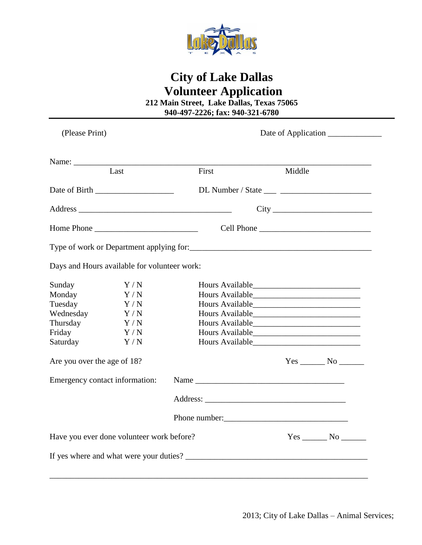

# **City of Lake Dallas Volunteer Application**

**212 Main Street, Lake Dallas, Texas 75065 940-497-2226; fax: 940-321-6780**

| (Please Print)                            |                                              |  |                 |        |                                                         |
|-------------------------------------------|----------------------------------------------|--|-----------------|--------|---------------------------------------------------------|
|                                           |                                              |  |                 |        |                                                         |
|                                           | Last                                         |  | First           | Middle |                                                         |
|                                           |                                              |  |                 |        |                                                         |
|                                           |                                              |  |                 |        |                                                         |
|                                           | Home Phone                                   |  |                 |        |                                                         |
|                                           |                                              |  |                 |        |                                                         |
|                                           | Days and Hours available for volunteer work: |  |                 |        |                                                         |
| Sunday                                    | Y/N                                          |  |                 |        |                                                         |
| Monday                                    | Y/N                                          |  | Hours Available |        |                                                         |
| Tuesday                                   | Y/N                                          |  |                 |        |                                                         |
| Wednesday                                 | Y/N                                          |  |                 |        |                                                         |
| Thursday                                  | Y/N                                          |  |                 |        |                                                         |
| Friday                                    | Y/N                                          |  |                 |        |                                                         |
| Saturday                                  | Y/N                                          |  |                 |        |                                                         |
| Are you over the age of 18?               |                                              |  |                 |        | $Yes$ No $\rule{1em}{0.15mm}$ No $\rule{1.5mm}{0.15mm}$ |
| Emergency contact information:            |                                              |  |                 |        |                                                         |
|                                           |                                              |  |                 |        |                                                         |
|                                           |                                              |  |                 |        |                                                         |
| Have you ever done volunteer work before? |                                              |  |                 |        |                                                         |
|                                           |                                              |  |                 |        |                                                         |
|                                           |                                              |  |                 |        |                                                         |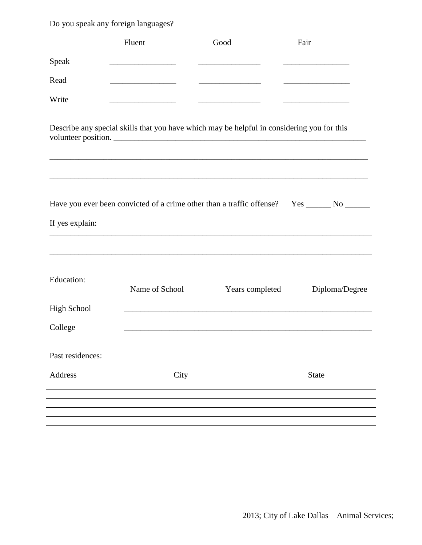Do you speak any foreign languages?

|                    | Fluent         | Good                                                                                                              | Fair                                                            |
|--------------------|----------------|-------------------------------------------------------------------------------------------------------------------|-----------------------------------------------------------------|
| Speak              |                |                                                                                                                   | <u> 1989 - Johann John Hermann, francuski filozof (d. 1989)</u> |
| Read               |                |                                                                                                                   |                                                                 |
| Write              |                | <u> 1989 - Jan Berlin, mars al-Amerikaansk politiker (</u>                                                        |                                                                 |
|                    |                | Describe any special skills that you have which may be helpful in considering you for this<br>volunteer position. |                                                                 |
| If yes explain:    |                | Have you ever been convicted of a crime other than a traffic offense? Yes ______ No ______                        |                                                                 |
|                    |                |                                                                                                                   |                                                                 |
| <b>Education:</b>  | Name of School | Years completed                                                                                                   | Diploma/Degree                                                  |
| <b>High School</b> |                |                                                                                                                   |                                                                 |
| College            |                |                                                                                                                   |                                                                 |
| Past residences:   |                |                                                                                                                   |                                                                 |
| Address            | City           |                                                                                                                   | <b>State</b>                                                    |
|                    |                |                                                                                                                   |                                                                 |
|                    |                |                                                                                                                   |                                                                 |
|                    |                |                                                                                                                   |                                                                 |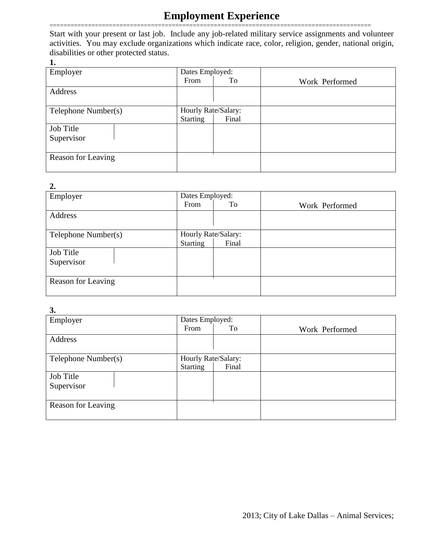## **Employment Experience**

============================================================================================ Start with your present or last job. Include any job-related military service assignments and volunteer activities. You may exclude organizations which indicate race, color, religion, gender, national origin, disabilities or other protected status.

**1.**

| Employer            | Dates Employed:     |       |                |
|---------------------|---------------------|-------|----------------|
|                     | From                | To    | Work Performed |
| Address             |                     |       |                |
|                     |                     |       |                |
| Telephone Number(s) | Hourly Rate/Salary: |       |                |
|                     | Starting            | Final |                |
| <b>Job Title</b>    |                     |       |                |
| Supervisor          |                     |       |                |
|                     |                     |       |                |
| Reason for Leaving  |                     |       |                |
|                     |                     |       |                |

#### **2.**

| ∠.                  |                     |       |                |
|---------------------|---------------------|-------|----------------|
| Employer            | Dates Employed:     |       |                |
|                     | From                | To    | Work Performed |
| Address             |                     |       |                |
|                     |                     |       |                |
| Telephone Number(s) | Hourly Rate/Salary: |       |                |
|                     | <b>Starting</b>     | Final |                |
| Job Title           |                     |       |                |
| Supervisor          |                     |       |                |
|                     |                     |       |                |
| Reason for Leaving  |                     |       |                |
|                     |                     |       |                |

#### **3.**

| Employer            | Dates Employed:     |       |                |
|---------------------|---------------------|-------|----------------|
|                     | From                | To    | Work Performed |
| Address             |                     |       |                |
|                     |                     |       |                |
| Telephone Number(s) | Hourly Rate/Salary: |       |                |
|                     | <b>Starting</b>     | Final |                |
| Job Title           |                     |       |                |
| Supervisor          |                     |       |                |
|                     |                     |       |                |
| Reason for Leaving  |                     |       |                |
|                     |                     |       |                |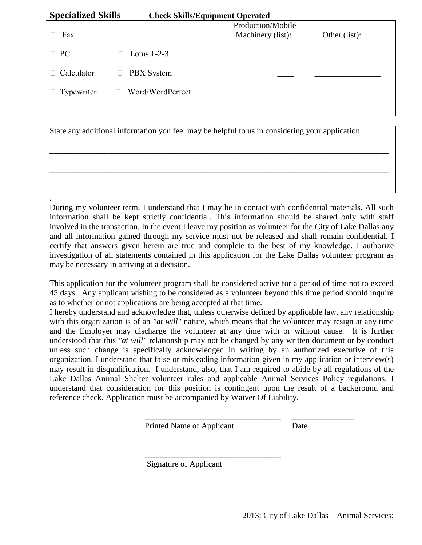| <b>Specialized Skills</b> | <b>Check Skills/Equipment Operated</b> |                   |               |
|---------------------------|----------------------------------------|-------------------|---------------|
|                           |                                        | Production/Mobile |               |
| Fax                       |                                        | Machinery (list): | Other (list): |
|                           |                                        |                   |               |
| $\Box$ PC                 | Lotus $1-2-3$                          |                   |               |
|                           |                                        |                   |               |
| Calculator                | <b>PBX</b> System                      |                   |               |
| Typewriter                | Word/WordPerfect                       |                   |               |
|                           |                                        |                   |               |
|                           |                                        |                   |               |

State any additional information you feel may be helpful to us in considering your application.

.

\_\_\_\_\_\_\_\_\_\_\_\_\_\_\_\_\_\_\_\_\_\_\_\_\_\_\_\_\_\_\_\_\_\_\_\_\_\_\_\_\_\_\_\_\_\_\_\_\_\_\_\_\_\_\_\_\_\_\_\_\_\_\_\_\_\_\_\_\_\_\_\_\_\_\_\_\_\_\_\_\_\_

\_\_\_\_\_\_\_\_\_\_\_\_\_\_\_\_\_\_\_\_\_\_\_\_\_\_\_\_\_\_\_\_\_\_\_\_\_\_\_\_\_\_\_\_\_\_\_\_\_\_\_\_\_\_\_\_\_\_\_\_\_\_\_\_\_\_\_\_\_\_\_\_\_\_\_\_\_\_\_\_\_\_

During my volunteer term, I understand that I may be in contact with confidential materials. All such information shall be kept strictly confidential. This information should be shared only with staff involved in the transaction. In the event I leave my position as volunteer for the City of Lake Dallas any and all information gained through my service must not be released and shall remain confidential. I certify that answers given herein are true and complete to the best of my knowledge. I authorize investigation of all statements contained in this application for the Lake Dallas volunteer program as may be necessary in arriving at a decision.

This application for the volunteer program shall be considered active for a period of time not to exceed 45 days. Any applicant wishing to be considered as a volunteer beyond this time period should inquire as to whether or not applications are being accepted at that time.

I hereby understand and acknowledge that, unless otherwise defined by applicable law, any relationship with this organization is of an "*at will*" nature, which means that the volunteer may resign at any time and the Employer may discharge the volunteer at any time with or without cause. It is further understood that this *"at will"* relationship may not be changed by any written document or by conduct unless such change is specifically acknowledged in writing by an authorized executive of this organization. I understand that false or misleading information given in my application or interview(s) may result in disqualification. I understand, also, that I am required to abide by all regulations of the Lake Dallas Animal Shelter volunteer rules and applicable Animal Services Policy regulations. I understand that consideration for this position is contingent upon the result of a background and reference check. Application must be accompanied by Waiver Of Liability.

Printed Name of Applicant Date

 $\overline{\phantom{a}}$  , and the contract of the contract of the contract of the contract of the contract of the contract of the contract of the contract of the contract of the contract of the contract of the contract of the contrac

Signature of Applicant

 $\overline{\phantom{a}}$  ,  $\overline{\phantom{a}}$  ,  $\overline{\phantom{a}}$  ,  $\overline{\phantom{a}}$  ,  $\overline{\phantom{a}}$  ,  $\overline{\phantom{a}}$  ,  $\overline{\phantom{a}}$  ,  $\overline{\phantom{a}}$  ,  $\overline{\phantom{a}}$  ,  $\overline{\phantom{a}}$  ,  $\overline{\phantom{a}}$  ,  $\overline{\phantom{a}}$  ,  $\overline{\phantom{a}}$  ,  $\overline{\phantom{a}}$  ,  $\overline{\phantom{a}}$  ,  $\overline{\phantom{a}}$